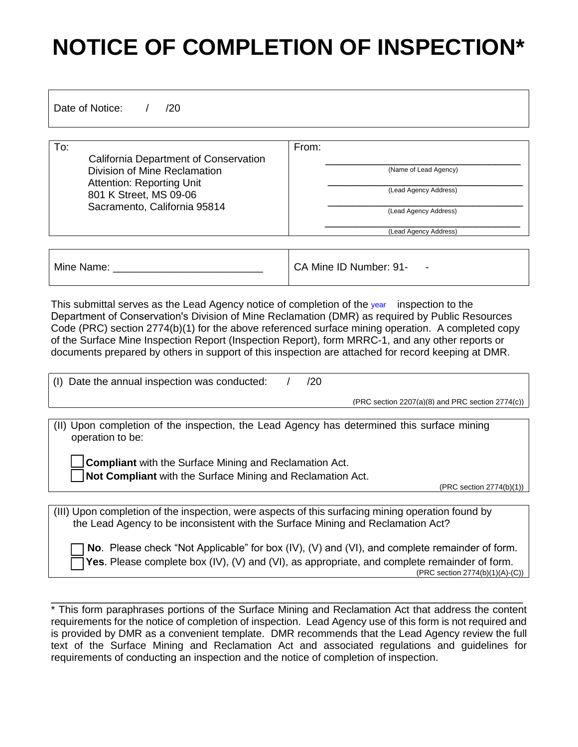## **NOTICE OF COMPLETION OF INSPECTION\***

Date of Notice: / /20

To: California Department of Conservation Division of Mine Reclamation Attention: Reporting Unit 801 K Street, MS 09-06 Sacramento, California 95814 From: \_\_\_\_\_\_\_\_\_\_\_\_\_\_\_\_\_\_\_\_\_\_\_\_\_\_\_\_\_\_\_ (Name of Lead Agency) \_\_\_\_\_\_\_\_\_\_\_\_\_\_\_\_\_\_\_\_\_\_\_\_\_\_\_\_\_\_\_ (Lead Agency Address) \_\_\_\_\_\_\_\_\_\_\_\_\_\_\_\_\_\_\_\_\_\_\_\_\_\_\_\_\_\_\_ (Lead Agency Address) \_\_\_\_\_\_\_\_\_\_\_\_\_\_\_\_\_\_\_\_\_\_\_\_\_\_\_\_\_\_\_ (Lead Agency Address) Mine Name: \_\_\_\_\_\_\_\_\_\_\_\_\_\_\_\_\_\_\_\_\_\_\_\_\_\_ CA Mine ID Number: 91- -

This submittal serves as the Lead Agency notice of completion of the year inspection to the Department of Conservation's Division of Mine Reclamation (DMR) as required by Public Resources Code (PRC) section 2774(b)(1) for the above referenced surface mining operation. A completed copy of the Surface Mine Inspection Report (Inspection Report), form MRRC-1, and any other reports or documents prepared by others in support of this inspection are attached for record keeping at DMR.

(I) Date the annual inspection was conducted:  $/$  /20

(PRC section 2207(a)(8) and PRC section 2774(c))

(II) Upon completion of the inspection, the Lead Agency has determined this surface mining operation to be:

**Compliant** with the Surface Mining and Reclamation Act. **Not Compliant** with the Surface Mining and Reclamation Act.

(PRC section 2774(b)(1))

| (III) Upon completion of the inspection, were aspects of this surfacing mining operation found by                                                                                                           |                                                                                 |
|-------------------------------------------------------------------------------------------------------------------------------------------------------------------------------------------------------------|---------------------------------------------------------------------------------|
|                                                                                                                                                                                                             | the Lead Agency to be inconsistent with the Surface Mining and Reclamation Act? |
| $\Box$ No. Please check "Not Applicable" for box (IV), (V) and (VI), and complete remainder of form.<br>$\Box$ Yes. Please complete box (IV), (V) and (VI), as appropriate, and complete remainder of form. |                                                                                 |

(PRC section 2774(b)(1)(A)-(C))

\* This form paraphrases portions of the Surface Mining and Reclamation Act that address the content requirements for the notice of completion of inspection. Lead Agency use of this form is not required and is provided by DMR as a convenient template. DMR recommends that the Lead Agency review the full text of the Surface Mining and Reclamation Act and associated regulations and guidelines for requirements of conducting an inspection and the notice of completion of inspection.

\_\_\_\_\_\_\_\_\_\_\_\_\_\_\_\_\_\_\_\_\_\_\_\_\_\_\_\_\_\_\_\_\_\_\_\_\_\_\_\_\_\_\_\_\_\_\_\_\_\_\_\_\_\_\_\_\_\_\_\_\_\_\_\_\_\_\_\_\_\_\_\_\_\_\_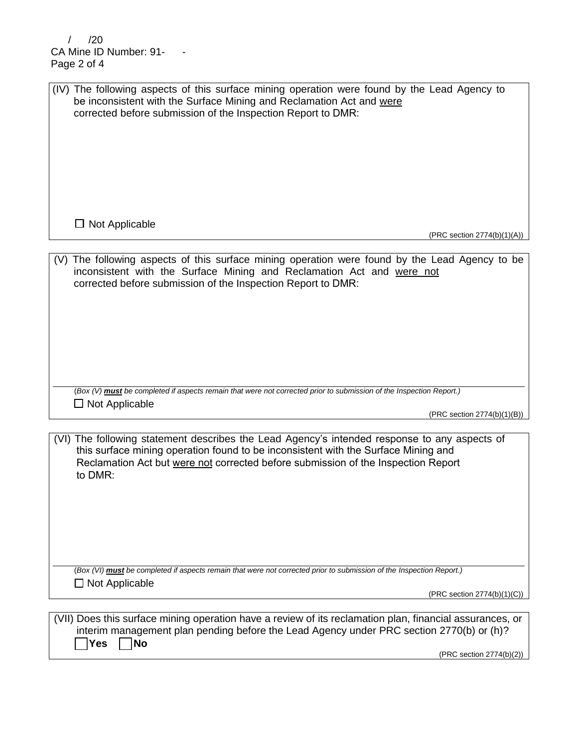$/$   $/20$ CA Mine ID Number: 91-Page 2 of 4

| (IV) The following aspects of this surface mining operation were found by the Lead Agency to<br>be inconsistent with the Surface Mining and Reclamation Act and were<br>corrected before submission of the Inspection Report to DMR:    |
|-----------------------------------------------------------------------------------------------------------------------------------------------------------------------------------------------------------------------------------------|
|                                                                                                                                                                                                                                         |
| $\Box$ Not Applicable<br>(PRC section 2774(b)(1)(A))                                                                                                                                                                                    |
|                                                                                                                                                                                                                                         |
| (V) The following aspects of this surface mining operation were found by the Lead Agency to be<br>inconsistent with the Surface Mining and Reclamation Act and were not<br>corrected before submission of the Inspection Report to DMR: |
| (Box (V) must be completed if aspects remain that were not corrected prior to submission of the Inspection Report.)                                                                                                                     |
| $\Box$ Not Applicable<br>(PRC section 2774(b)(1)(B))                                                                                                                                                                                    |
|                                                                                                                                                                                                                                         |
| (VI) The following statement describes the Lead Agency's intended response to any aspects of                                                                                                                                            |

this surface mining operation found to be inconsistent with the Surface Mining and Reclamation Act but were not corrected before submission of the Inspection Report to DMR:

(*Box (VI) must be completed if aspects remain that were not corrected prior to submission of the Inspection Report.)* ☐ Not Applicable

(PRC section 2774(b)(1)(C))

| (VII) Does this surface mining operation have a review of its reclamation plan, financial assurances, or |
|----------------------------------------------------------------------------------------------------------|
| interim management plan pending before the Lead Agency under PRC section 2770(b) or (h)?                 |
| Yes   No                                                                                                 |

(PRC section 2774(b)(2))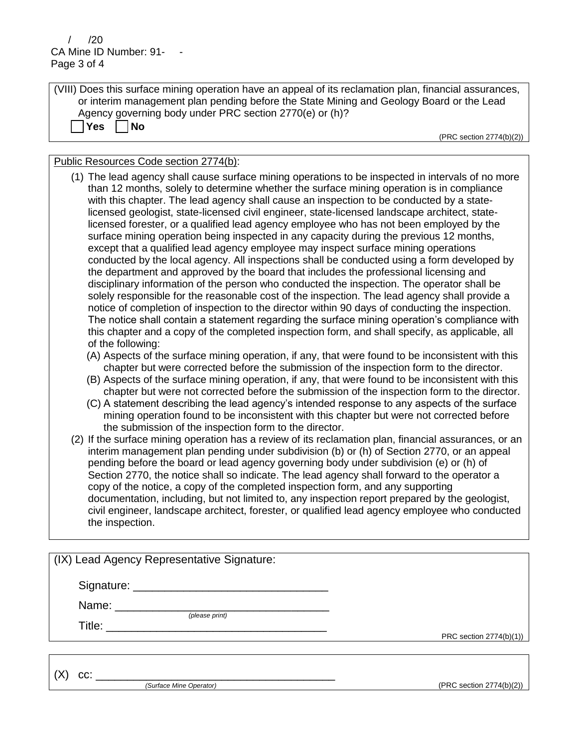$/ 70$ CA Mine ID Number: 91-Page 3 of 4

☐ **Yes** ☐ **No**

| (VIII) Does this surface mining operation have an appeal of its reclamation plan, financial assurances, |
|---------------------------------------------------------------------------------------------------------|
| or interim management plan pending before the State Mining and Geology Board or the Lead                |
| Agency governing body under PRC section 2770(e) or (h)?                                                 |

(PRC section 2774(b)(2))

| Public Resources Code section 2774(b): |  |  |  |  |  |
|----------------------------------------|--|--|--|--|--|
|----------------------------------------|--|--|--|--|--|

- (1) The lead agency shall cause surface mining operations to be inspected in intervals of no more than 12 months, solely to determine whether the surface mining operation is in compliance with this chapter. The lead agency shall cause an inspection to be conducted by a statelicensed geologist, state-licensed civil engineer, state-licensed landscape architect, statelicensed forester, or a qualified lead agency employee who has not been employed by the surface mining operation being inspected in any capacity during the previous 12 months, except that a qualified lead agency employee may inspect surface mining operations conducted by the local agency. All inspections shall be conducted using a form developed by the department and approved by the board that includes the professional licensing and disciplinary information of the person who conducted the inspection. The operator shall be solely responsible for the reasonable cost of the inspection. The lead agency shall provide a notice of completion of inspection to the director within 90 days of conducting the inspection. The notice shall contain a statement regarding the surface mining operation's compliance with this chapter and a copy of the completed inspection form, and shall specify, as applicable, all of the following:
	- (A) Aspects of the surface mining operation, if any, that were found to be inconsistent with this chapter but were corrected before the submission of the inspection form to the director.
	- (B) Aspects of the surface mining operation, if any, that were found to be inconsistent with this chapter but were not corrected before the submission of the inspection form to the director.
	- (C) A statement describing the lead agency's intended response to any aspects of the surface mining operation found to be inconsistent with this chapter but were not corrected before the submission of the inspection form to the director.
- (2) If the surface mining operation has a review of its reclamation plan, financial assurances, or an interim management plan pending under subdivision (b) or (h) of Section 2770, or an appeal pending before the board or lead agency governing body under subdivision (e) or (h) of Section 2770, the notice shall so indicate. The lead agency shall forward to the operator a copy of the notice, a copy of the completed inspection form, and any supporting documentation, including, but not limited to, any inspection report prepared by the geologist, civil engineer, landscape architect, forester, or qualified lead agency employee who conducted the inspection.

| (IX) Lead Agency Representative Signature:                       |                          |
|------------------------------------------------------------------|--------------------------|
|                                                                  |                          |
| (please print)<br>Title: <u>________________________________</u> | PRC section 2774(b)(1))  |
| CC:<br>(Surface Mine Operator)                                   | (PRC section 2774(b)(2)) |